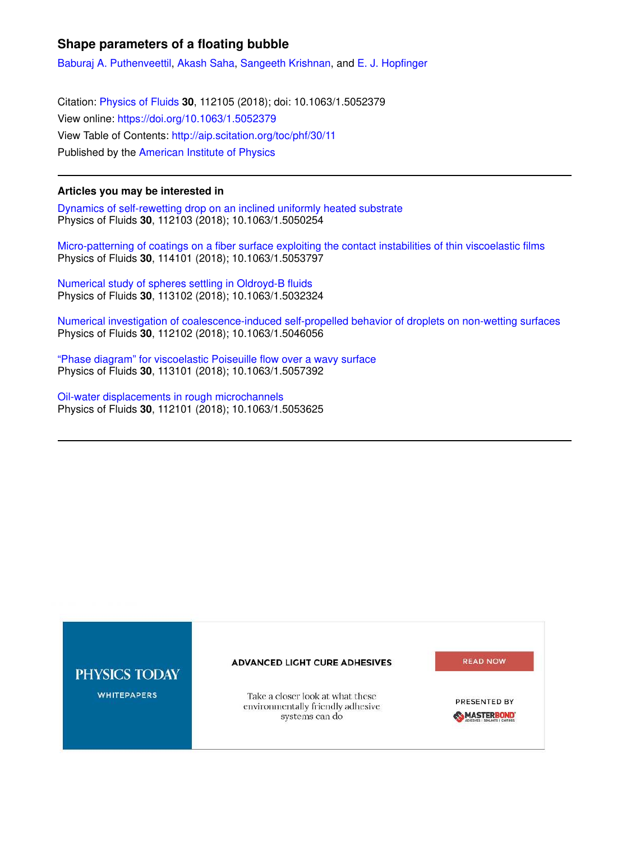## **Shape parameters of a floating bubble**

Baburaj A. Puthenveettil, Akash Saha, Sangeeth Krishnan, and E. J. Hopfinger

Citation: Physics of Fluids **30**, 112105 (2018); doi: 10.1063/1.5052379 View online: https://doi.org/10.1063/1.5052379 View Table of Contents: http://aip.scitation.org/toc/phf/30/11 Published by the American Institute of Physics

## **Articles you may be interested in**

Dynamics of self-rewetting drop on an inclined uniformly heated substrate Physics of Fluids **30**, 112103 (2018); 10.1063/1.5050254

Micro-patterning of coatings on a fiber surface exploiting the contact instabilities of thin viscoelastic films Physics of Fluids **30**, 114101 (2018); 10.1063/1.5053797

Numerical study of spheres settling in Oldroyd-B fluids Physics of Fluids **30**, 113102 (2018); 10.1063/1.5032324

Numerical investigation of coalescence-induced self-propelled behavior of droplets on non-wetting surfaces Physics of Fluids **30**, 112102 (2018); 10.1063/1.5046056

"Phase diagram" for viscoelastic Poiseuille flow over a wavy surface Physics of Fluids **30**, 113101 (2018); 10.1063/1.5057392

Oil-water displacements in rough microchannels Physics of Fluids **30**, 112101 (2018); 10.1063/1.5053625

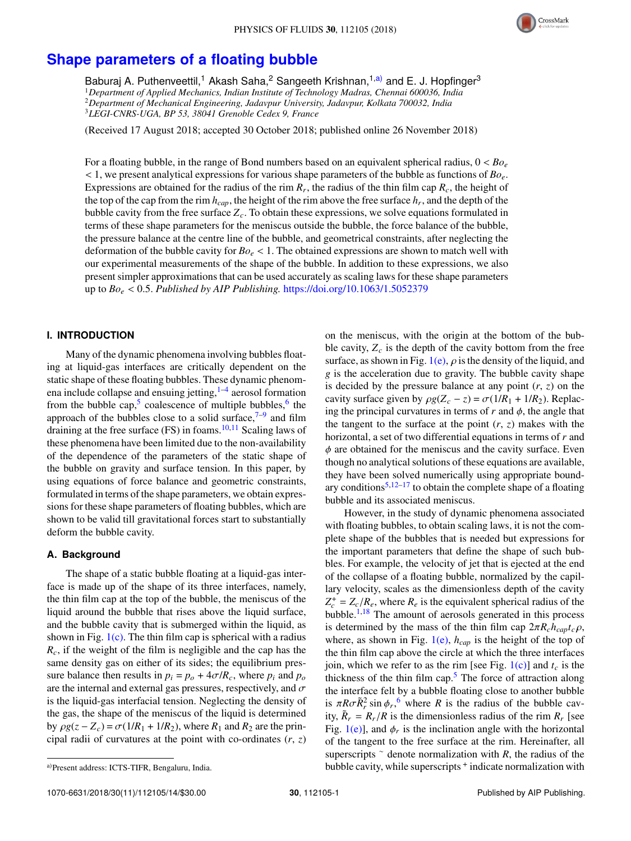

# **Shape parameters of a floating bubble**

Baburaj A. Puthenveettil,<sup>1</sup> Akash Saha,<sup>2</sup> Sangeeth Krishnan,<sup>1,a)</sup> and E. J. Hopfinger<sup>3</sup> *Department of Applied Mechanics, Indian Institute of Technology Madras, Chennai 600036, India Department of Mechanical Engineering, Jadavpur University, Jadavpur, Kolkata 700032, India LEGI-CNRS-UGA, BP 53, 38041 Grenoble Cedex 9, France*

(Received 17 August 2018; accepted 30 October 2018; published online 26 November 2018)

For a floating bubble, in the range of Bond numbers based on an equivalent spherical radius, 0 < *Bo<sup>e</sup>* < 1, we present analytical expressions for various shape parameters of the bubble as functions of *Boe*. Expressions are obtained for the radius of the rim  $R_r$ , the radius of the thin film cap  $R_c$ , the height of the top of the cap from the rim *hcap*, the height of the rim above the free surface *h<sup>r</sup>* , and the depth of the bubble cavity from the free surface *Zc*. To obtain these expressions, we solve equations formulated in terms of these shape parameters for the meniscus outside the bubble, the force balance of the bubble, the pressure balance at the centre line of the bubble, and geometrical constraints, after neglecting the deformation of the bubble cavity for *Bo<sup>e</sup>* < 1. The obtained expressions are shown to match well with our experimental measurements of the shape of the bubble. In addition to these expressions, we also present simpler approximations that can be used accurately as scaling laws for these shape parameters up to *Bo<sup>e</sup>* < 0.5. *Published by AIP Publishing.* https://doi.org/10.1063/1.5052379

### **I. INTRODUCTION**

Many of the dynamic phenomena involving bubbles floating at liquid-gas interfaces are critically dependent on the static shape of these floating bubbles. These dynamic phenomena include collapse and ensuing jetting, <sup>1–4</sup> aerosol formation from the bubble cap,<sup>5</sup> coalescence of multiple bubbles,<sup>6</sup> the approach of the bubbles close to a solid surface,  $7-9$  and film draining at the free surface (FS) in foams. $10,11$  Scaling laws of these phenomena have been limited due to the non-availability of the dependence of the parameters of the static shape of the bubble on gravity and surface tension. In this paper, by using equations of force balance and geometric constraints, formulated in terms of the shape parameters, we obtain expressions for these shape parameters of floating bubbles, which are shown to be valid till gravitational forces start to substantially deform the bubble cavity.

### **A. Background**

The shape of a static bubble floating at a liquid-gas interface is made up of the shape of its three interfaces, namely, the thin film cap at the top of the bubble, the meniscus of the liquid around the bubble that rises above the liquid surface, and the bubble cavity that is submerged within the liquid, as shown in Fig.  $1(c)$ . The thin film cap is spherical with a radius *Rc*, if the weight of the film is negligible and the cap has the same density gas on either of its sides; the equilibrium pressure balance then results in  $p_i = p_o + 4\sigma/R_c$ , where  $p_i$  and  $p_o$ are the internal and external gas pressures, respectively, and  $\sigma$ is the liquid-gas interfacial tension. Neglecting the density of the gas, the shape of the meniscus of the liquid is determined by  $\rho g(z - Z_c) = \sigma(1/R_1 + 1/R_2)$ , where  $R_1$  and  $R_2$  are the principal radii of curvatures at the point with co-ordinates (*r*, *z*)

However, in the study of dynamic phenomena associated with floating bubbles, to obtain scaling laws, it is not the complete shape of the bubbles that is needed but expressions for the important parameters that define the shape of such bubbles. For example, the velocity of jet that is ejected at the end of the collapse of a floating bubble, normalized by the capillary velocity, scales as the dimensionless depth of the cavity  $Z_c^+ = Z_c/R_e$ , where  $R_e$  is the equivalent spherical radius of the bubble. $1,18$  The amount of aerosols generated in this process is determined by the mass of the thin film cap  $2\pi R_c h_{cap} t_c \rho$ , where, as shown in Fig. 1(e), *hcap* is the height of the top of the thin film cap above the circle at which the three interfaces join, which we refer to as the rim [see Fig.  $1(c)$ ] and  $t_c$  is the thickness of the thin film cap. $5$  The force of attraction along the interface felt by a bubble floating close to another bubble is  $\pi R \sigma \tilde{R}_r^2 \sin \phi_r$ , where *R* is the radius of the bubble cavity,  $\tilde{R}_r = R_r/R$  is the dimensionless radius of the rim  $R_r$  [see Fig.  $1(e)$ ], and  $\phi_r$  is the inclination angle with the horizontal of the tangent to the free surface at the rim. Hereinafter, all superscripts ∼ denote normalization with *R*, the radius of the bubble cavity, while superscripts <sup>+</sup> indicate normalization with

on the meniscus, with the origin at the bottom of the bubble cavity,  $Z_c$  is the depth of the cavity bottom from the free surface, as shown in Fig. 1(e),  $\rho$  is the density of the liquid, and *g* is the acceleration due to gravity. The bubble cavity shape is decided by the pressure balance at any point (*r*, *z*) on the cavity surface given by  $\rho g(Z_c - z) = \sigma(1/R_1 + 1/R_2)$ . Replacing the principal curvatures in terms of  $r$  and  $\phi$ , the angle that the tangent to the surface at the point  $(r, z)$  makes with the horizontal, a set of two differential equations in terms of *r* and  $\phi$  are obtained for the meniscus and the cavity surface. Even though no analytical solutions of these equations are available, they have been solved numerically using appropriate boundary conditions<sup>5,12–17</sup> to obtain the complete shape of a floating bubble and its associated meniscus.

a)Present address: ICTS-TIFR, Bengaluru, India.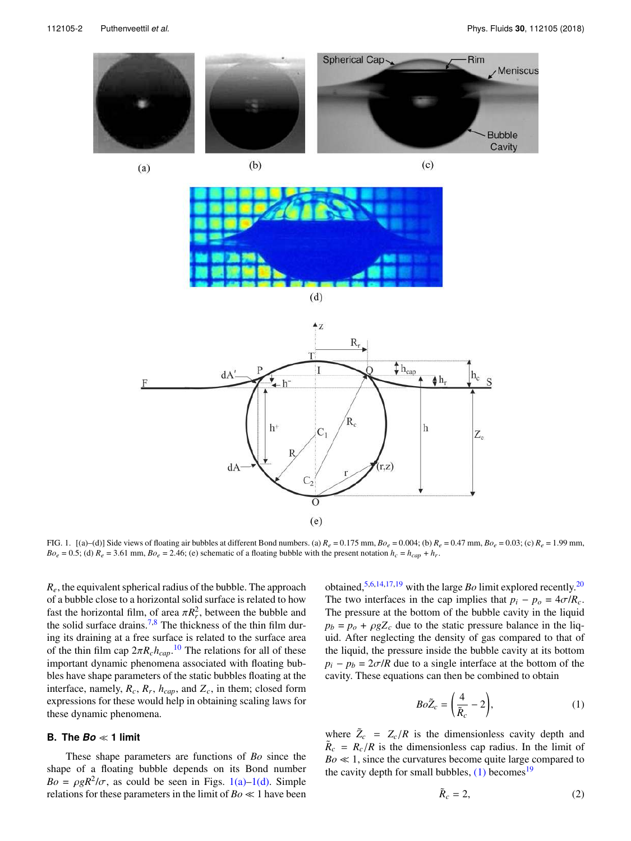

 $(a)$ 



 $(c)$ 



 $(d)$ 



FIG. 1. [(a)–(d)] Side views of floating air bubbles at different Bond numbers. (a)  $R_e = 0.175$  mm,  $Bo_e = 0.004$ ; (b)  $R_e = 0.47$  mm,  $Bo_e = 0.03$ ; (c)  $R_e = 1.99$  mm,  $Bo_e = 0.5$ ; (d)  $R_e = 3.61$  mm,  $Bo_e = 2.46$ ; (e) schematic of a floating bubble with the present notation  $h_c = h_{cap} + h_r$ .

*Re*, the equivalent spherical radius of the bubble. The approach of a bubble close to a horizontal solid surface is related to how fast the horizontal film, of area  $\pi R_r^2$ , between the bubble and the solid surface drains.<sup>7,8</sup> The thickness of the thin film during its draining at a free surface is related to the surface area of the thin film cap  $2\pi R_c h_{cap}$ .<sup>10</sup> The relations for all of these important dynamic phenomena associated with floating bubbles have shape parameters of the static bubbles floating at the interface, namely,  $R_c$ ,  $R_r$ ,  $h_{cap}$ , and  $Z_c$ , in them; closed form expressions for these would help in obtaining scaling laws for these dynamic phenomena.

#### **B. The** *Bo* <sup>≪</sup> **1 limit**

These shape parameters are functions of *Bo* since the shape of a floating bubble depends on its Bond number  $Bo = \rho g R^2 / \sigma$ , as could be seen in Figs. 1(a)–1(d). Simple relations for these parameters in the limit of *Bo* ≪ 1 have been

obtained,5,6,14,17,19 with the large *Bo* limit explored recently.<sup>20</sup> The two interfaces in the cap implies that  $p_i - p_o = 4\sigma/R_c$ . The pressure at the bottom of the bubble cavity in the liquid  $p_b = p_o + \rho g Z_c$  due to the static pressure balance in the liquid. After neglecting the density of gas compared to that of the liquid, the pressure inside the bubble cavity at its bottom  $p_i - p_b = 2\sigma/R$  due to a single interface at the bottom of the cavity. These equations can then be combined to obtain

$$
Bo\tilde{Z}_c = \left(\frac{4}{\tilde{R}_c} - 2\right),\tag{1}
$$

where  $\tilde{Z}_c = Z_c/R$  is the dimensionless cavity depth and  $\tilde{R}_c = R_c/R$  is the dimensionless cap radius. In the limit of *Bo* ≪ 1, since the curvatures become quite large compared to the cavity depth for small bubbles,  $(1)$  becomes<sup>19</sup>

$$
\tilde{R}_c = 2, \tag{2}
$$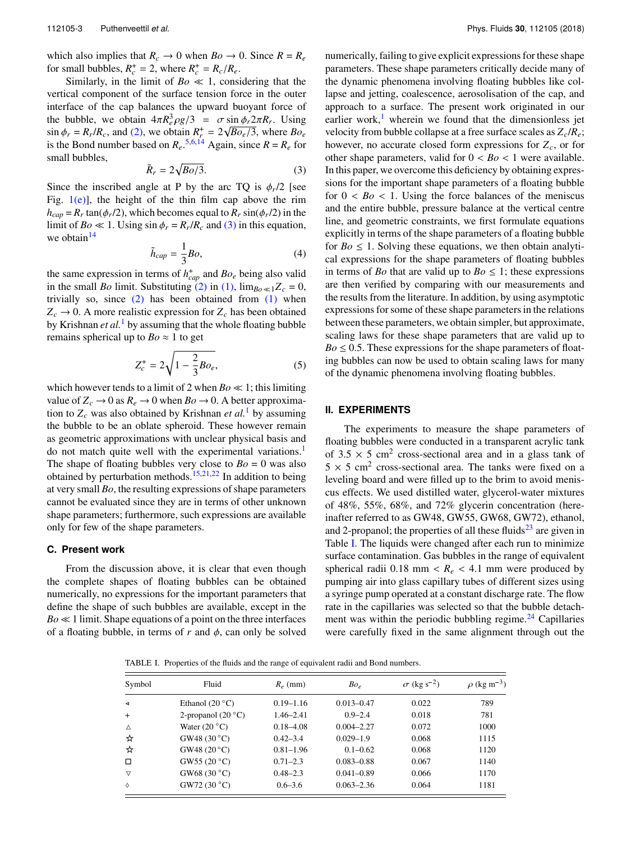which also implies that  $R_c \to 0$  when  $Bo \to 0$ . Since  $R = R_e$ for small bubbles,  $R_c^+ = 2$ , where  $R_c^+ = R_c/R_e$ .

Similarly, in the limit of  $Bo \ll 1$ , considering that the vertical component of the surface tension force in the outer interface of the cap balances the upward buoyant force of the bubble, we obtain  $4\pi R_e^3 \rho g/3 = \sigma \sin \phi_r 2\pi R_r$ . Using  $\sin \phi_r = R_r/R_c$ , and (2), we obtain  $R_r^+ = 2\sqrt{Bo_e/3}$ , where  $Bo_e$ is the Bond number based on  $R_e$ .<sup>5,6,14</sup> Again, since  $R = R_e$  for small bubbles,

$$
\tilde{R}_r = 2\sqrt{Bo/3}.\tag{3}
$$

Since the inscribed angle at P by the arc TQ is  $\phi_r/2$  [see Fig.  $1(e)$ ], the height of the thin film cap above the rim  $h_{cap} = R_r \tan(\phi_r/2)$ , which becomes equal to  $R_r \sin(\phi_r/2)$  in the limit of *Bo*  $\ll$  1. Using sin  $\phi_r = R_r/R_c$  and (3) in this equation, we obtain $14$ 

$$
\tilde{h}_{cap} = \frac{1}{3}Bo,
$$
\n(4)

the same expression in terms of  $h_{cap}^+$  and  $Bo_e$  being also valid in the small *Bo* limit. Substituting (2) in (1),  $\lim_{B_0 \ll 1} Z_c = 0$ , trivially so, since  $(2)$  has been obtained from  $(1)$  when  $Z_c \rightarrow 0$ . A more realistic expression for  $Z_c$  has been obtained by Krishnan *et al.*<sup>1</sup> by assuming that the whole floating bubble remains spherical up to  $Bo \approx 1$  to get

$$
Z_c^+ = 2\sqrt{1 - \frac{2}{3}Bo_e},
$$
 (5)

which however tends to a limit of 2 when  $Bo \ll 1$ ; this limiting value of  $Z_c \rightarrow 0$  as  $R_e \rightarrow 0$  when  $Bo \rightarrow 0$ . A better approximation to  $Z_c$  was also obtained by Krishnan *et al.*<sup>1</sup> by assuming the bubble to be an oblate spheroid. These however remain as geometric approximations with unclear physical basis and do not match quite well with the experimental variations.<sup>1</sup> The shape of floating bubbles very close to  $Bo = 0$  was also obtained by perturbation methods.<sup>15,21,22</sup> In addition to being at very small *Bo*, the resulting expressions of shape parameters cannot be evaluated since they are in terms of other unknown shape parameters; furthermore, such expressions are available only for few of the shape parameters.

### **C. Present work**

From the discussion above, it is clear that even though the complete shapes of floating bubbles can be obtained numerically, no expressions for the important parameters that define the shape of such bubbles are available, except in the  $Bo \ll 1$  limit. Shape equations of a point on the three interfaces of a floating bubble, in terms of  $r$  and  $\phi$ , can only be solved

numerically, failing to give explicit expressions for these shape parameters. These shape parameters critically decide many of the dynamic phenomena involving floating bubbles like collapse and jetting, coalescence, aerosolisation of the cap, and approach to a surface. The present work originated in our earlier work, $\frac{1}{x}$  wherein we found that the dimensionless jet velocity from bubble collapse at a free surface scales as *Zc*/*Re*; however, no accurate closed form expressions for *Zc*, or for other shape parameters, valid for  $0 < Bo < 1$  were available. In this paper, we overcome this deficiency by obtaining expressions for the important shape parameters of a floating bubble for  $0 < B<sub>o</sub> < 1$ . Using the force balances of the meniscus and the entire bubble, pressure balance at the vertical centre line, and geometric constraints, we first formulate equations explicitly in terms of the shape parameters of a floating bubble for  $Bo \leq 1$ . Solving these equations, we then obtain analytical expressions for the shape parameters of floating bubbles in terms of *Bo* that are valid up to  $Bo \leq 1$ ; these expressions are then verified by comparing with our measurements and the results from the literature. In addition, by using asymptotic expressions for some of these shape parameters in the relations between these parameters, we obtain simpler, but approximate, scaling laws for these shape parameters that are valid up to  $Bo \leq 0.5$ . These expressions for the shape parameters of floating bubbles can now be used to obtain scaling laws for many of the dynamic phenomena involving floating bubbles.

#### **II. EXPERIMENTS**

The experiments to measure the shape parameters of floating bubbles were conducted in a transparent acrylic tank of  $3.5 \times 5$  cm<sup>2</sup> cross-sectional area and in a glass tank of  $5 \times 5$  cm<sup>2</sup> cross-sectional area. The tanks were fixed on a leveling board and were filled up to the brim to avoid meniscus effects. We used distilled water, glycerol-water mixtures of 48%, 55%, 68%, and 72% glycerin concentration (hereinafter referred to as GW48, GW55, GW68, GW72), ethanol, and 2-propanol; the properties of all these fluids $^{23}$  are given in Table I. The liquids were changed after each run to minimize surface contamination. Gas bubbles in the range of equivalent spherical radii 0.18 mm  $R_e$  < 4.1 mm were produced by pumping air into glass capillary tubes of different sizes using a syringe pump operated at a constant discharge rate. The flow rate in the capillaries was selected so that the bubble detachment was within the periodic bubbling regime.<sup>24</sup> Capillaries were carefully fixed in the same alignment through out the

| Symbol               | Fluid                 | $R_e$ (mm)    | Bo <sub>e</sub> | $\sigma$ (kg s <sup>-2</sup> ) | $\rho$ (kg m <sup>-3</sup> ) |
|----------------------|-----------------------|---------------|-----------------|--------------------------------|------------------------------|
| $\blacktriangleleft$ | Ethanol $(20 °C)$     | $0.19 - 1.16$ | $0.013 - 0.47$  | 0.022                          | 789                          |
| $+$                  | 2-propanol $(20 °C)$  | $1.46 - 2.41$ | $0.9 - 2.4$     | 0.018                          | 781                          |
| $\Delta$             | Water $(20^{\circ}C)$ | $0.18 - 4.08$ | $0.004 - 2.27$  | 0.072                          | 1000                         |
| ☆                    | GW48 (30 °C)          | $0.42 - 3.4$  | $0.029 - 1.9$   | 0.068                          | 1115                         |
| ☆                    | GW48 (20 °C)          | $0.81 - 1.96$ | $0.1 - 0.62$    | 0.068                          | 1120                         |
| □                    | GW55 $(20 °C)$        | $0.71 - 2.3$  | $0.083 - 0.88$  | 0.067                          | 1140                         |
| ▽                    | GW68 $(30 °C)$        | $0.48 - 2.3$  | $0.041 - 0.89$  | 0.066                          | 1170                         |
| ♦                    | GW72 (30 °C)          | $0.6 - 3.6$   | $0.063 - 2.36$  | 0.064                          | 1181                         |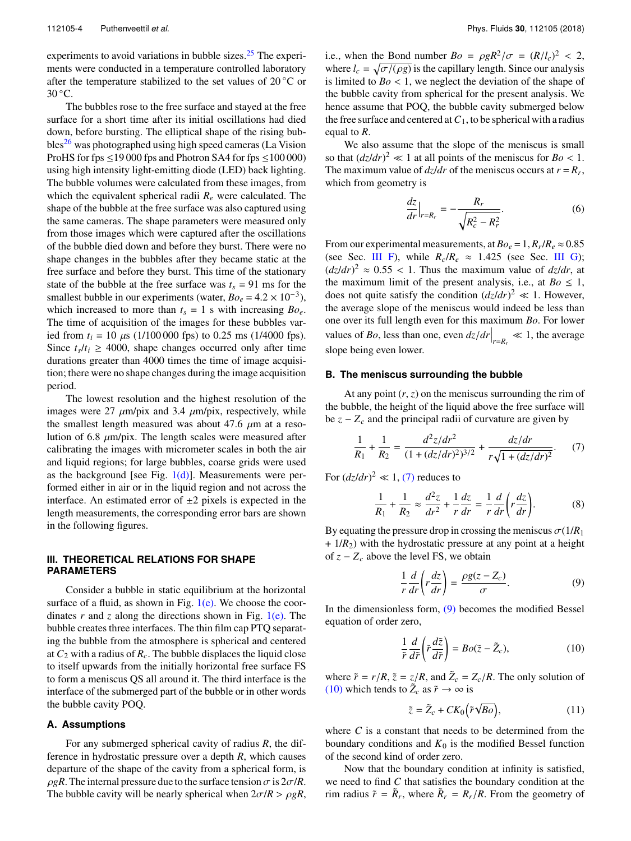experiments to avoid variations in bubble sizes. $25$  The experiments were conducted in a temperature controlled laboratory after the temperature stabilized to the set values of  $20\degree C$  or 30 °C.

The bubbles rose to the free surface and stayed at the free surface for a short time after its initial oscillations had died down, before bursting. The elliptical shape of the rising bub $bles<sup>26</sup>$  was photographed using high speed cameras (La Vision ProHS for fps  $\leq$  19 000 fps and Photron SA4 for fps  $\leq$  100 000) using high intensity light-emitting diode (LED) back lighting. The bubble volumes were calculated from these images, from which the equivalent spherical radii  $R_e$  were calculated. The shape of the bubble at the free surface was also captured using the same cameras. The shape parameters were measured only from those images which were captured after the oscillations of the bubble died down and before they burst. There were no shape changes in the bubbles after they became static at the free surface and before they burst. This time of the stationary state of the bubble at the free surface was  $t_s = 91$  ms for the smallest bubble in our experiments (water,  $Bo_e = 4.2 \times 10^{-3}$ ), which increased to more than  $t_s = 1$  s with increasing  $Bo_e$ . The time of acquisition of the images for these bubbles varied from  $t_i = 10 \mu s$  (1/100 000 fps) to 0.25 ms (1/4000 fps). Since  $t_s/t_i \geq 4000$ , shape changes occurred only after time durations greater than 4000 times the time of image acquisition; there were no shape changes during the image acquisition period.

The lowest resolution and the highest resolution of the images were 27  $\mu$ m/pix and 3.4  $\mu$ m/pix, respectively, while the smallest length measured was about 47.6  $\mu$ m at a resolution of 6.8  $\mu$ m/pix. The length scales were measured after calibrating the images with micrometer scales in both the air and liquid regions; for large bubbles, coarse grids were used as the background [see Fig.  $1(d)$ ]. Measurements were performed either in air or in the liquid region and not across the interface. An estimated error of  $\pm 2$  pixels is expected in the length measurements, the corresponding error bars are shown in the following figures.

## **III. THEORETICAL RELATIONS FOR SHAPE PARAMETERS**

Consider a bubble in static equilibrium at the horizontal surface of a fluid, as shown in Fig.  $1(e)$ . We choose the coordinates  $r$  and  $z$  along the directions shown in Fig.  $1(e)$ . The bubble creates three interfaces. The thin film cap PTQ separating the bubble from the atmosphere is spherical and centered at  $C_2$  with a radius of  $R_c$ . The bubble displaces the liquid close to itself upwards from the initially horizontal free surface FS to form a meniscus QS all around it. The third interface is the interface of the submerged part of the bubble or in other words the bubble cavity POQ.

### **A. Assumptions**

For any submerged spherical cavity of radius *R*, the difference in hydrostatic pressure over a depth *R*, which causes departure of the shape of the cavity from a spherical form, is  $\rho gR$ . The internal pressure due to the surface tension  $\sigma$  is  $2\sigma/R$ . The bubble cavity will be nearly spherical when  $2\sigma/R > \rho gR$ ,

i.e., when the Bond number  $Bo = \rho g R^2 / \sigma = (R / l_c)^2 < 2$ , where  $l_c = \sqrt{\frac{\sigma}{\rho g}}$  is the capillary length. Since our analysis is limited to  $Bo < 1$ , we neglect the deviation of the shape of the bubble cavity from spherical for the present analysis. We hence assume that POQ, the bubble cavity submerged below the free surface and centered at  $C_1$ , to be spherical with a radius equal to *R*.

We also assume that the slope of the meniscus is small so that  $(dz/dr)^2 \ll 1$  at all points of the meniscus for  $Bo < 1$ . The maximum value of  $dz/dr$  of the meniscus occurs at  $r = R_r$ , which from geometry is

$$
\frac{dz}{dr}\Big|_{r=R_r} = -\frac{R_r}{\sqrt{R_c^2 - R_r^2}}.\tag{6}
$$

From our experimental measurements, at  $Bo_e = 1$ ,  $R_r/R_e \approx 0.85$ (see Sec. III F), while  $R_c/R_e \approx 1.425$  (see Sec. III G);  $(dz/dr)^2 \approx 0.55 < 1$ . Thus the maximum value of  $dz/dr$ , at the maximum limit of the present analysis, i.e., at  $Bo \leq 1$ , does not quite satisfy the condition  $\left(\frac{dz}{dr}\right)^2 \ll 1$ . However, the average slope of the meniscus would indeed be less than one over its full length even for this maximum *Bo*. For lower values of *Bo*, less than one, even  $dz/dr \Big|_{r=R_r} \ll 1$ , the average slope being even lower.

#### **B. The meniscus surrounding the bubble**

At any point  $(r, z)$  on the meniscus surrounding the rim of the bubble, the height of the liquid above the free surface will be  $z - Z_c$  and the principal radii of curvature are given by

$$
\frac{1}{R_1} + \frac{1}{R_2} = \frac{d^2z/dr^2}{(1 + (dz/dr)^2)^{3/2}} + \frac{dz/dr}{r\sqrt{1 + (dz/dr)^2}}.
$$
 (7)

For  $(dz/dr)^2 \ll 1$ , (7) reduces to

$$
\frac{1}{R_1} + \frac{1}{R_2} \approx \frac{d^2 z}{dr^2} + \frac{1}{r} \frac{dz}{dr} = \frac{1}{r} \frac{d}{dr} \left( r \frac{dz}{dr} \right).
$$
 (8)

By equating the pressure drop in crossing the meniscus  $\sigma(1/R_1)$  $+ 1/R<sub>2</sub>$ ) with the hydrostatic pressure at any point at a height of  $z - Z_c$  above the level FS, we obtain

$$
\frac{1}{r}\frac{d}{dr}\left(r\frac{dz}{dr}\right) = \frac{\rho g(z - Z_c)}{\sigma}.
$$
\n(9)

In the dimensionless form, (9) becomes the modified Bessel equation of order zero,

$$
\frac{1}{\tilde{r}}\frac{d}{d\tilde{r}}\left(\tilde{r}\frac{d\tilde{z}}{d\tilde{r}}\right) = Bo(\tilde{z} - \tilde{Z}_c),\tag{10}
$$

where  $\tilde{r} = r/R$ ,  $\tilde{z} = z/R$ , and  $\tilde{Z}_c = Z_c/R$ . The only solution of (10) which tends to  $\tilde{Z}_c$  as  $\tilde{r} \to \infty$  is

$$
\tilde{z} = \tilde{Z}_c + CK_0 \left( \tilde{r} \sqrt{Bo} \right),\tag{11}
$$

where *C* is a constant that needs to be determined from the boundary conditions and  $K_0$  is the modified Bessel function of the second kind of order zero.

Now that the boundary condition at infinity is satisfied, we need to find *C* that satisfies the boundary condition at the rim radius  $\tilde{r} = \tilde{R}_r$ , where  $\tilde{R}_r = R_r/R$ . From the geometry of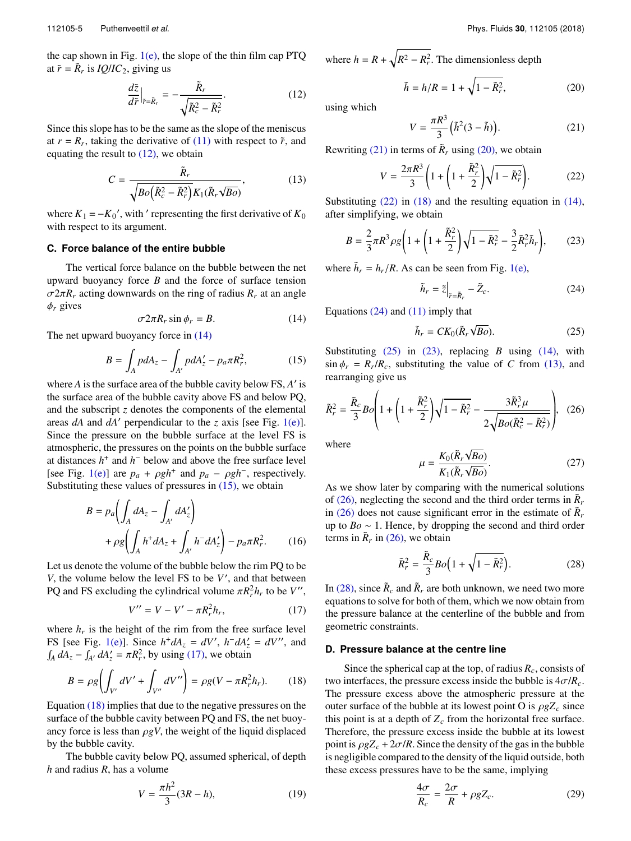the cap shown in Fig.  $1(e)$ , the slope of the thin film cap PTQ at  $\tilde{r} = \tilde{R}_r$  is *IQ*/*IC*<sub>2</sub>, giving us

$$
\frac{d\tilde{z}}{d\tilde{r}}\Big|_{\tilde{r}=\tilde{R}_r} = -\frac{\tilde{R}_r}{\sqrt{\tilde{R}_c^2 - \tilde{R}_r^2}}.\tag{12}
$$

Since this slope has to be the same as the slope of the meniscus at  $r = R_r$ , taking the derivative of (11) with respect to  $\tilde{r}$ , and equating the result to  $(12)$ , we obtain

$$
C = \frac{\tilde{R}_r}{\sqrt{Bo\left(\tilde{R}_c^2 - \tilde{R}_r^2\right)} K_1(\tilde{R}_r \sqrt{Bo}\right)}\,,\tag{13}
$$

where  $K_1 = -K_0'$ , with ' representing the first derivative of  $K_0$ with respect to its argument.

#### **C. Force balance of the entire bubble**

The vertical force balance on the bubble between the net upward buoyancy force *B* and the force of surface tension  $\sigma 2\pi R_r$  acting downwards on the ring of radius  $R_r$  at an angle  $\phi_r$  gives

$$
\sigma 2\pi R_r \sin \phi_r = B. \tag{14}
$$

The net upward buoyancy force in (14)

$$
B = \int_A pdA_z - \int_{A'} pdA'_z - p_a \pi R_r^2, \qquad (15)
$$

where *A* is the surface area of the bubble cavity below FS, *A* ′ is the surface area of the bubble cavity above FS and below PQ, and the subscript *z* denotes the components of the elemental areas *dA* and *dA*′ perpendicular to the *z* axis [see Fig. 1(e)]. Since the pressure on the bubble surface at the level FS is atmospheric, the pressures on the points on the bubble surface at distances  $h^+$  and  $h^-$  below and above the free surface level [see Fig. 1(e)] are  $p_a + \rho g h^+$  and  $p_a - \rho g h^-$ , respectively. Substituting these values of pressures in  $(15)$ , we obtain

$$
B = p_a \left( \int_A dA_z - \int_{A'} dA'_z \right)
$$
  
+ 
$$
\rho g \left( \int_A h^+ dA_z + \int_{A'} h^- dA'_z \right) - p_a \pi R_r^2.
$$
 (16)

Let us denote the volume of the bubble below the rim PQ to be *V*, the volume below the level FS to be *V'*, and that between PQ and FS excluding the cylindrical volume  $\pi R_r^2 h_r$  to be *V''*,

$$
V'' = V - V' - \pi R_r^2 h_r,
$$
 (17)

where  $h_r$  is the height of the rim from the free surface level FS [see Fig. 1(e)]. Since  $h^+ dA_z = dV'$ ,  $h^- dA'_z = dV''$ , and  $\int_A dA_z - \int_{A'} dA'_z = \pi R_r^2$ , by using (17), we obtain

$$
B = \rho g \left( \int_{V'} dV' + \int_{V''} dV'' \right) = \rho g (V - \pi R_r^2 h_r). \tag{18}
$$

Equation (18) implies that due to the negative pressures on the surface of the bubble cavity between PQ and FS, the net buoyancy force is less than  $\rho gV$ , the weight of the liquid displaced by the bubble cavity.

The bubble cavity below PQ, assumed spherical, of depth *h* and radius *R*, has a volume

$$
V = \frac{\pi h^2}{3} (3R - h),
$$
 (19)

where  $h = R + \sqrt{R^2 - R_r^2}$ . The dimensionless depth

$$
\tilde{h} = h/R = 1 + \sqrt{1 - \tilde{R}_r^2},\tag{20}
$$

using which

$$
V = \frac{\pi R^3}{3} \left( \tilde{h}^2 (3 - \tilde{h}) \right). \tag{21}
$$

Rewriting (21) in terms of  $\tilde{R}_r$  using (20), we obtain

$$
V = \frac{2\pi R^3}{3} \left( 1 + \left( 1 + \frac{\tilde{R}_r^2}{2} \right) \sqrt{1 - \tilde{R}_r^2} \right). \tag{22}
$$

Substituting  $(22)$  in  $(18)$  and the resulting equation in  $(14)$ , after simplifying, we obtain

$$
B = \frac{2}{3}\pi R^3 \rho g \left( 1 + \left( 1 + \frac{\tilde{R}_r^2}{2} \right) \sqrt{1 - \tilde{R}_r^2} - \frac{3}{2} \tilde{R}_r^2 \tilde{h}_r \right),\tag{23}
$$

where  $\tilde{h}_r = h_r / R$ . As can be seen from Fig. 1(e),

$$
\tilde{h}_r = \tilde{z}\Big|_{\tilde{r} = \tilde{R}_r} - \tilde{Z}_c.
$$
\n(24)

Equations  $(24)$  and  $(11)$  imply that

$$
\tilde{h}_r = CK_0(\tilde{R}_r \sqrt{Bo}).\tag{25}
$$

Substituting  $(25)$  in  $(23)$ , replacing *B* using  $(14)$ , with  $\sin \phi_r = R_r/R_c$ , substituting the value of *C* from (13), and rearranging give us

$$
\tilde{R}_r^2 = \frac{\tilde{R}_c}{3} B o \left( 1 + \left( 1 + \frac{\tilde{R}_r^2}{2} \right) \sqrt{1 - \tilde{R}_r^2} - \frac{3 \tilde{R}_r^3 \mu}{2 \sqrt{Bo(\tilde{R}_c^2 - \tilde{R}_r^2)}} \right), \tag{26}
$$

where

$$
\mu = \frac{K_0(\tilde{R}_r \sqrt{Bo})}{K_1(\tilde{R}_r \sqrt{Bo})}.
$$
\n(27)

As we show later by comparing with the numerical solutions of (26), neglecting the second and the third order terms in  $\tilde{R}_r$ in (26) does not cause significant error in the estimate of  $\tilde{R}_r$ up to *Bo* ∼ 1. Hence, by dropping the second and third order terms in  $\tilde{R}_r$  in (26), we obtain

$$
\tilde{R}_r^2 = \frac{\tilde{R}_c}{3} Bo\Big(1 + \sqrt{1 - \tilde{R}_r^2}\Big). \tag{28}
$$

In (28), since  $\tilde{R}_c$  and  $\tilde{R}_r$  are both unknown, we need two more equations to solve for both of them, which we now obtain from the pressure balance at the centerline of the bubble and from geometric constraints.

#### **D. Pressure balance at the centre line**

Since the spherical cap at the top, of radius *Rc*, consists of two interfaces, the pressure excess inside the bubble is  $4\sigma/R_c$ . The pressure excess above the atmospheric pressure at the outer surface of the bubble at its lowest point O is  $\rho g Z_c$  since this point is at a depth of  $Z_c$  from the horizontal free surface. Therefore, the pressure excess inside the bubble at its lowest point is  $\rho g Z_c + 2\sigma / R$ . Since the density of the gas in the bubble is negligible compared to the density of the liquid outside, both these excess pressures have to be the same, implying

$$
\frac{4\sigma}{R_c} = \frac{2\sigma}{R} + \rho g Z_c.
$$
 (29)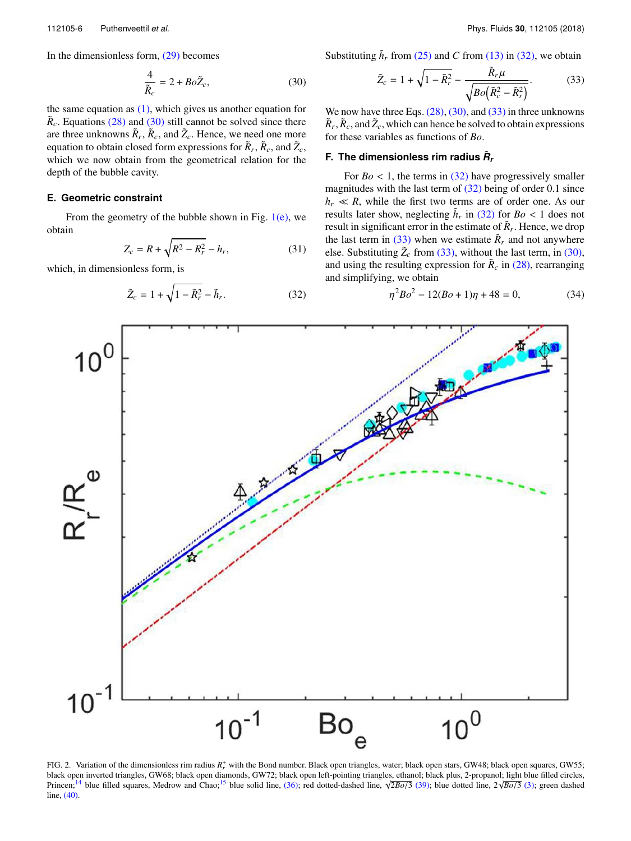In the dimensionless form, (29) becomes

$$
\frac{4}{\tilde{R}_c} = 2 + Bo\tilde{Z}_c,\tag{30}
$$

the same equation as  $(1)$ , which gives us another equation for  $\tilde{R}_c$ . Equations (28) and (30) still cannot be solved since there are three unknowns  $\tilde{R}_r$ ,  $\tilde{R}_c$ , and  $\tilde{Z}_c$ . Hence, we need one more equation to obtain closed form expressions for  $\tilde{R}_r$ ,  $\tilde{R}_c$ , and  $\tilde{Z}_c$ , which we now obtain from the geometrical relation for the depth of the bubble cavity.

## **E. Geometric constraint**

From the geometry of the bubble shown in Fig.  $1(e)$ , we obtain

$$
Z_c = R + \sqrt{R^2 - R_r^2} - h_r,\tag{31}
$$

which, in dimensionless form, is

$$
\tilde{Z}_c = 1 + \sqrt{1 - \tilde{R}_r^2} - \tilde{h}_r.
$$
\n(32)

Substituting  $\tilde{h}_r$  from (25) and *C* from (13) in (32), we obtain

$$
\tilde{Z}_c = 1 + \sqrt{1 - \tilde{R}_r^2} - \frac{\tilde{R}_r \mu}{\sqrt{Bo\left(\tilde{R}_c^2 - \tilde{R}_r^2\right)}}.
$$
(33)

We now have three Eqs.  $(28)$ ,  $(30)$ , and  $(33)$  in three unknowns  $\tilde{R}_r$ ,  $\tilde{R}_c$ , and  $\tilde{Z}_c$ , which can hence be solved to obtain expressions for these variables as functions of *Bo*.

## **F.** The dimensionless rim radius  $\tilde{R}_t$

For  $Bo < 1$ , the terms in (32) have progressively smaller magnitudes with the last term of  $(32)$  being of order 0.1 since  $h_r \ll R$ , while the first two terms are of order one. As our results later show, neglecting  $\tilde{h}_r$  in (32) for  $Bo < 1$  does not result in significant error in the estimate of  $\tilde{R}_r$ . Hence, we drop the last term in  $(33)$  when we estimate  $\tilde{R}_r$  and not anywhere else. Substituting  $\tilde{Z}_c$  from (33), without the last term, in (30), and using the resulting expression for  $\tilde{R}_c$  in (28), rearranging and simplifying, we obtain

$$
\eta^2 B o^2 - 12(Bo + 1)\eta + 48 = 0,\tag{34}
$$



FIG. 2. Variation of the dimensionless rim radius  $R_r^+$  with the Bond number. Black open triangles, water; black open stars, GW48; black open squares, GW55; black open inverted triangles, GW68; black open diamonds, GW72; black open left-pointing triangles, ethanol; black plus, 2-propanol; light blue filled circles, Princen;<sup>14</sup> blue filled squares, Medrow and Chao;<sup>15</sup> blue solid line, (36); red dotted-dashed line, <sup>√</sup> <sup>2</sup>*Bo*/<sup>3</sup> (39); blue dotted line, 2<sup>√</sup> *Bo*/3 (3); green dashed line, (40).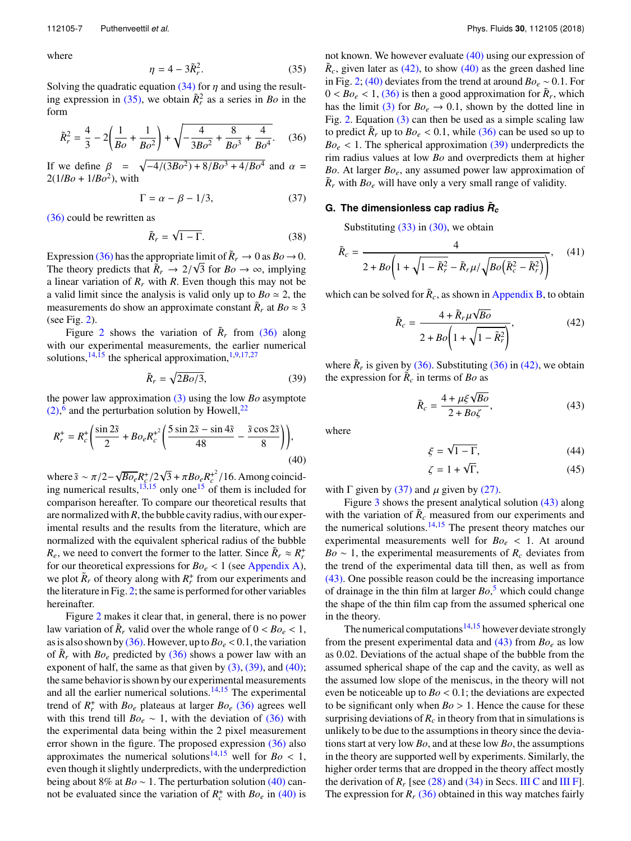where

$$
\eta = 4 - 3\tilde{R}_r^2. \tag{35}
$$

Solving the quadratic equation (34) for  $\eta$  and using the resulting expression in (35), we obtain  $\tilde{R}_r^2$  as a series in *Bo* in the form

$$
\tilde{R}_r^2 = \frac{4}{3} - 2\left(\frac{1}{Bo} + \frac{1}{Bo^2}\right) + \sqrt{-\frac{4}{3Bo^2} + \frac{8}{Bo^3} + \frac{4}{Bo^4}}.\tag{36}
$$

If we define  $\beta = \sqrt{-4/(3Bo^2) + 8/Bo^3 + 4/Bo^4}$  and  $\alpha =$  $2(1/Bo + 1/Bo^2)$ , with

$$
\Gamma = \alpha - \beta - 1/3,\tag{37}
$$

(36) could be rewritten as

$$
\tilde{R}_r = \sqrt{1 - \Gamma}.\tag{38}
$$

Expression (36) has the appropriate limit of  $\tilde{R}_r \to 0$  as  $Bo \to 0$ . The theory predicts that  $\tilde{R}_r \rightarrow 2/\sqrt{3}$  for  $Bo \rightarrow \infty$ , implying a linear variation of  $R_r$  with  $R$ . Even though this may not be a valid limit since the analysis is valid only up to  $Bo \approx 2$ , the measurements do show an approximate constant  $\tilde{R}_r$  at  $Bo \approx 3$ (see Fig. 2).

Figure 2 shows the variation of  $\tilde{R}_r$  from (36) along with our experimental measurements, the earlier numerical solutions,<sup>14,15</sup> the spherical approximation,<sup>1,9,17,27</sup>

$$
\tilde{R}_r = \sqrt{2Bo/3},\tag{39}
$$

the power law approximation (3) using the low *Bo* asymptote  $(2)$ ,  $^{6}$  and the perturbation solution by Howell,<sup>22</sup>

$$
R_r^+ = R_c^+ \bigg( \frac{\sin 2\tilde{s}}{2} + B o_e R_c^{+2} \bigg( \frac{5 \sin 2\tilde{s} - \sin 4\tilde{s}}{48} - \frac{\tilde{s} \cos 2\tilde{s}}{8} \bigg) \bigg),\tag{40}
$$

where  $\tilde{s} \sim \pi/2 - \sqrt{Bo_e}R_c^+/2\sqrt{3} + \pi Bo_eR_c^+/(16)$ . Among coinciding numerical results,  $13,15$  only one  $15$  of them is included for comparison hereafter. To compare our theoretical results that are normalized with*R*, the bubble cavity radius, with our experimental results and the results from the literature, which are normalized with the equivalent spherical radius of the bubble *R*<sub>*e*</sub>, we need to convert the former to the latter. Since  $\tilde{R}_r \approx R_r^+$ for our theoretical expressions for  $Bo_e < 1$  (see Appendix A), we plot  $\tilde{R}_r$  of theory along with  $R_r^+$  from our experiments and the literature in Fig. 2; the same is performed for other variables hereinafter.

Figure 2 makes it clear that, in general, there is no power law variation of  $\tilde{R}_r$  valid over the whole range of  $0 < B_0 \leq 1$ , as is also shown by (36). However, up to  $Bo_e < 0.1$ , the variation of  $\tilde{R}_r$  with  $Bo_e$  predicted by (36) shows a power law with an exponent of half, the same as that given by  $(3)$ ,  $(39)$ , and  $(40)$ ; the same behavior is shown by our experimental measurements and all the earlier numerical solutions. $14,15$  The experimental trend of  $R_r^+$  with  $Bo_e$  plateaus at larger  $Bo_e$  (36) agrees well with this trend till  $Bo_e \sim 1$ , with the deviation of (36) with the experimental data being within the 2 pixel measurement error shown in the figure. The proposed expression  $(36)$  also approximates the numerical solutions<sup>14,15</sup> well for  $Bo < 1$ , even though it slightly underpredicts, with the underprediction being about 8% at *Bo* ∼ 1. The perturbation solution (40) cannot be evaluated since the variation of  $R_c^+$  with  $Bo_e$  in (40) is

not known. We however evaluate (40) using our expression of  $\tilde{R}_c$ , given later as (42), to show (40) as the green dashed line in Fig. 2; (40) deviates from the trend at around  $Bo_e \sim 0.1$ . For  $0 < Bo_e < 1$ , (36) is then a good approximation for  $\tilde{R}_r$ , which has the limit (3) for  $Bo_e \rightarrow 0.1$ , shown by the dotted line in Fig. 2. Equation (3) can then be used as a simple scaling law to predict  $\tilde{R}_r$  up to  $Bo_e < 0.1$ , while (36) can be used so up to  $Bo_e < 1$ . The spherical approximation (39) underpredicts the rim radius values at low *Bo* and overpredicts them at higher *Bo*. At larger *Boe*, any assumed power law approximation of  $\tilde{R}_r$  with  $Bo_e$  will have only a very small range of validity.

# **G.** The dimensionless cap radius  $\tilde{\bm{R}}_c$

Substituting  $(33)$  in  $(30)$ , we obtain

$$
\tilde{R}_c = \frac{4}{2 + Bo\left(1 + \sqrt{1 - \tilde{R}_r^2} - \tilde{R}_r\mu/\sqrt{Bo\left(\tilde{R}_c^2 - \tilde{R}_r^2\right)}\right)},\quad(41)
$$

which can be solved for  $\tilde{R}_c$ , as shown in Appendix B, to obtain

$$
\tilde{R}_c = \frac{4 + \tilde{R}_r \mu \sqrt{Bo}}{2 + Bo \left(1 + \sqrt{1 - \tilde{R}_r^2}\right)},
$$
\n(42)

where  $\tilde{R}_r$  is given by (36). Substituting (36) in (42), we obtain the expression for  $\tilde{R}_c$  in terms of *Bo* as

$$
\tilde{R}_c = \frac{4 + \mu \xi \sqrt{Bo}}{2 + Bo\zeta},\tag{43}
$$

where

$$
\xi = \sqrt{1 - \Gamma},\tag{44}
$$

$$
\zeta = 1 + \sqrt{\Gamma},\tag{45}
$$

with  $\Gamma$  given by (37) and  $\mu$  given by (27).

Figure 3 shows the present analytical solution (43) along with the variation of  $\tilde{R}_c$  measured from our experiments and the numerical solutions. $14,15$  The present theory matches our experimental measurements well for  $Bo_e < 1$ . At around *Bo* ∼ 1, the experimental measurements of  $R_c$  deviates from the trend of the experimental data till then, as well as from (43). One possible reason could be the increasing importance of drainage in the thin film at larger *Bo*, <sup>5</sup> which could change the shape of the thin film cap from the assumed spherical one in the theory.

The numerical computations<sup>14,15</sup> however deviate strongly from the present experimental data and  $(43)$  from  $Bo<sub>e</sub>$  as low as 0.02. Deviations of the actual shape of the bubble from the assumed spherical shape of the cap and the cavity, as well as the assumed low slope of the meniscus, in the theory will not even be noticeable up to *Bo* < 0.1; the deviations are expected to be significant only when  $Bo > 1$ . Hence the cause for these surprising deviations of  $R_c$  in theory from that in simulations is unlikely to be due to the assumptions in theory since the deviations start at very low *Bo*, and at these low *Bo*, the assumptions in the theory are supported well by experiments. Similarly, the higher order terms that are dropped in the theory affect mostly the derivation of  $R_r$  [see (28) and (34) in Secs. III C and III F]. The expression for  $R_r$  (36) obtained in this way matches fairly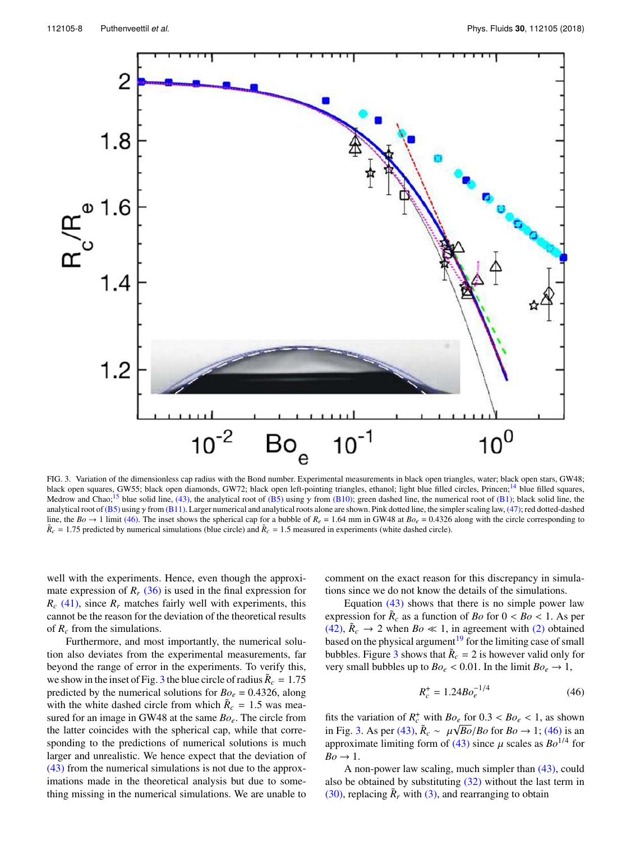

FIG. 3. Variation of the dimensionless cap radius with the Bond number. Experimental measurements in black open triangles, water; black open stars, GW48; black open squares, GW55; black open diamonds, GW72; black open left-pointing triangles, ethanol; light blue filled circles, Princen;<sup>14</sup> blue filled squares, Medrow and Chao;<sup>15</sup> blue solid line, (43), the analytical root of (B5) using  $\gamma$  from (B10); green dashed line, the numerical root of (B1); black solid line, the analytical root of (B5) using  $\gamma$  from (B11). Larger numerical and analytical roots alone are shown. Pink dotted line, the simpler scaling law, (47); red dotted-dashed line, the  $Bo \rightarrow 1$  limit (46). The inset shows the spherical cap for a bubble of  $R_e = 1.64$  mm in GW48 at  $Bo_e = 0.4326$  along with the circle corresponding to  $\tilde{R}_c = 1.75$  predicted by numerical simulations (blue circle) and  $\tilde{R}_c = 1.5$  measured in experiments (white dashed circle).

well with the experiments. Hence, even though the approximate expression of  $R_r$  (36) is used in the final expression for  $R_c$  (41), since  $R_r$  matches fairly well with experiments, this cannot be the reason for the deviation of the theoretical results of *R<sup>c</sup>* from the simulations.

Furthermore, and most importantly, the numerical solution also deviates from the experimental measurements, far beyond the range of error in the experiments. To verify this, we show in the inset of Fig. 3 the blue circle of radius  $\tilde{R}_c = 1.75$ predicted by the numerical solutions for  $Bo_e = 0.4326$ , along with the white dashed circle from which  $\tilde{R}_c = 1.5$  was measured for an image in GW48 at the same *Boe*. The circle from the latter coincides with the spherical cap, while that corresponding to the predictions of numerical solutions is much larger and unrealistic. We hence expect that the deviation of (43) from the numerical simulations is not due to the approximations made in the theoretical analysis but due to something missing in the numerical simulations. We are unable to

comment on the exact reason for this discrepancy in simulations since we do not know the details of the simulations.

Equation (43) shows that there is no simple power law expression for  $\tilde{R}_c$  as a function of *Bo* for  $0 < B_o < 1$ . As per (42),  $\tilde{R}_c \rightarrow 2$  when  $Bo \ll 1$ , in agreement with (2) obtained based on the physical argument<sup>19</sup> for the limiting case of small bubbles. Figure 3 shows that  $\tilde{R}_c = 2$  is however valid only for very small bubbles up to  $Bo_e < 0.01$ . In the limit  $Bo_e \rightarrow 1$ ,

$$
R_c^+ = 1.24Bo_e^{-1/4}
$$
 (46)

fits the variation of  $R_c^+$  with  $Bo_e$  for  $0.3 < Bo_e < 1$ , as shown in Fig. 3. As per (43),  $\tilde{R}_c \sim \mu \sqrt{Bo}/Bo$  for  $Bo \rightarrow 1$ ; (46) is an approximate limiting form of (43) since  $\mu$  scales as  $Bo^{1/4}$  for  $Bo \rightarrow 1$ .

A non-power law scaling, much simpler than (43), could also be obtained by substituting (32) without the last term in (30), replacing  $\tilde{R}_r$  with (3), and rearranging to obtain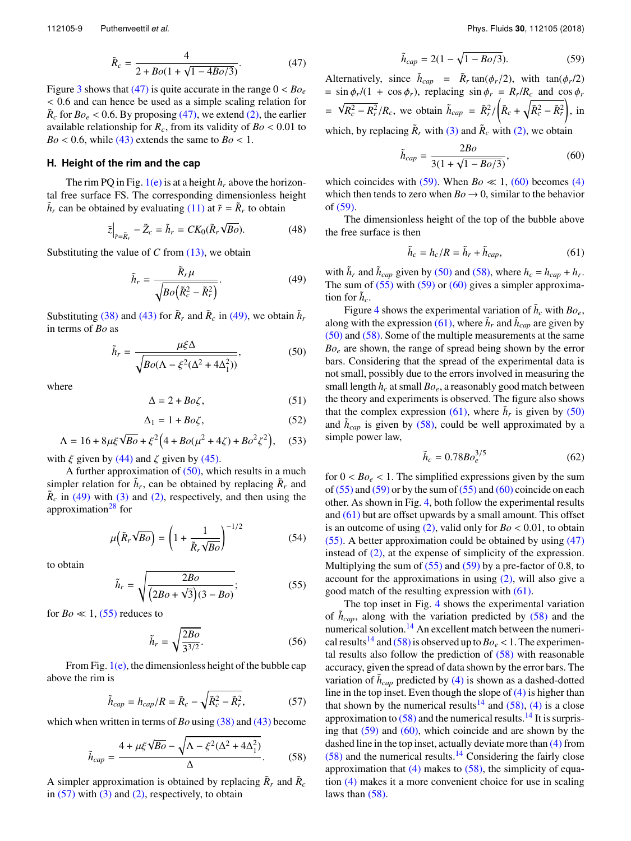$$
\tilde{R}_c = \frac{4}{2 + Bo(1 + \sqrt{1 - 4Bo/3})}.
$$
\n(47)

Figure 3 shows that (47) is quite accurate in the range  $0 < B_{O_e}$ < 0.6 and can hence be used as a simple scaling relation for  $\tilde{R}_c$  for  $Bo_e < 0.6$ . By proposing (47), we extend (2), the earlier available relationship for  $R_c$ , from its validity of  $Bo < 0.01$  to  $Bo < 0.6$ , while (43) extends the same to  $Bo < 1$ .

### **H. Height of the rim and the cap**

The rim PQ in Fig.  $1(e)$  is at a height  $h_r$  above the horizontal free surface FS. The corresponding dimensionless height  $\tilde{h}_r$  can be obtained by evaluating (11) at  $\tilde{r} = \tilde{R}_r$  to obtain

$$
\tilde{z}\Big|_{\tilde{r}=\tilde{R}_r} - \tilde{Z}_c = \tilde{h}_r = CK_0(\tilde{R}_r\sqrt{Bo}).\tag{48}
$$

Substituting the value of *C* from (13), we obtain

$$
\tilde{h}_r = \frac{\tilde{R}_r \mu}{\sqrt{Bo\left(\tilde{R}_c^2 - \tilde{R}_r^2\right)}}.\tag{49}
$$

Substituting (38) and (43) for  $\tilde{R}_r$  and  $\tilde{R}_c$  in (49), we obtain  $\tilde{h}_r$ in terms of *Bo* as

$$
\tilde{h}_r = \frac{\mu \xi \Delta}{\sqrt{Bo(\Lambda - \xi^2 (\Delta^2 + 4\Delta_1^2))}},\tag{50}
$$

where

$$
\Delta = 2 + B o \zeta, \tag{51}
$$

$$
\Delta_1 = 1 + B o \zeta, \tag{52}
$$

$$
\Lambda = 16 + 8\mu\xi\sqrt{Bo} + \xi^2 \left(4 + Bo(\mu^2 + 4\zeta) + Bo^2\zeta^2\right), \quad (53)
$$

with  $\xi$  given by (44) and  $\zeta$  given by (45).

A further approximation of  $(50)$ , which results in a much simpler relation for  $\tilde{h}_r$ , can be obtained by replacing  $\tilde{R}_r$  and  $\tilde{R}_c$  in (49) with (3) and (2), respectively, and then using the approximation<sup>28</sup> for

$$
\mu\big(\tilde{R}_r\sqrt{Bo}\big) = \left(1 + \frac{1}{\tilde{R}_r\sqrt{Bo}}\right)^{-1/2} \tag{54}
$$

to obtain

$$
\tilde{h}_r = \sqrt{\frac{2Bo}{\left(2Bo + \sqrt{3}\right)\left(3 - Bo\right)}};\tag{55}
$$

for  $Bo \ll 1$ , (55) reduces to

$$
\tilde{h}_r = \sqrt{\frac{2Bo}{3^{3/2}}}.\tag{56}
$$

From Fig.  $1(e)$ , the dimensionless height of the bubble cap above the rim is

$$
\tilde{h}_{cap} = h_{cap}/R = \tilde{R}_c - \sqrt{\tilde{R}_c^2 - \tilde{R}_r^2},
$$
\n(57)

which when written in terms of *Bo* using (38) and (43) become

$$
\tilde{h}_{cap} = \frac{4 + \mu \xi \sqrt{Bo} - \sqrt{\Lambda - \xi^2 (\Delta^2 + 4\Delta_1^2)}}{\Delta}.
$$
\n(58)

A simpler approximation is obtained by replacing  $\tilde{R}_r$  and  $\tilde{R}_c$ in  $(57)$  with  $(3)$  and  $(2)$ , respectively, to obtain

$$
\tilde{h}_{cap} = 2(1 - \sqrt{1 - Bo/3}).
$$
\n(59)

Alternatively, since  $\tilde{h}_{cap} = \tilde{R}_r \tan(\phi_r/2)$ , with  $\tan(\phi_r/2)$  $=$  sin  $\phi_r/(1 + \cos \phi_r)$ , replacing  $\sin \phi_r = R_r/R_c$  and  $\cos \phi_r$  $= \sqrt{R_c^2 - R_r^2}/R_c$ , we obtain  $\tilde{h}_{cap} = \tilde{R}_r^2 / (\tilde{R}_c + \sqrt{\tilde{R}_c^2 - \tilde{R}_r^2})$ , in which, by replacing  $\tilde{R}_r$  with (3) and  $\tilde{R}_c$  with (2), we obtain

$$
\tilde{h}_{cap} = \frac{2Bo}{3(1 + \sqrt{1 - Bo/3})},\tag{60}
$$

which coincides with  $(59)$ . When *Bo*  $\ll$  1,  $(60)$  becomes (4) which then tends to zero when  $Bo \rightarrow 0$ , similar to the behavior of (59).

The dimensionless height of the top of the bubble above the free surface is then

$$
\tilde{h}_c = h_c/R = \tilde{h}_r + \tilde{h}_{cap},\tag{61}
$$

with  $\tilde{h}_r$  and  $\tilde{h}_{cap}$  given by (50) and (58), where  $h_c = h_{cap} + h_r$ . The sum of  $(55)$  with  $(59)$  or  $(60)$  gives a simpler approximation for  $\tilde{h}_c$ .

Figure 4 shows the experimental variation of  $\tilde{h}_c$  with  $Bo_e$ , along with the expression (61), where  $\tilde{h}_r$  and  $\tilde{h}_{cap}$  are given by (50) and (58). Some of the multiple measurements at the same *Bo<sup>e</sup>* are shown, the range of spread being shown by the error bars. Considering that the spread of the experimental data is not small, possibly due to the errors involved in measuring the small length *h<sup>c</sup>* at small *Boe*, a reasonably good match between the theory and experiments is observed. The figure also shows that the complex expression (61), where  $\tilde{h}_r$  is given by (50) and  $\tilde{h}_{cap}$  is given by (58), could be well approximated by a simple power law,

$$
\tilde{h}_c = 0.78Bo_e^{3/5}
$$
 (62)

for  $0 < Bo_e < 1$ . The simplified expressions given by the sum of  $(55)$  and  $(59)$  or by the sum of  $(55)$  and  $(60)$  coincide on each other. As shown in Fig. 4, both follow the experimental results and (61) but are offset upwards by a small amount. This offset is an outcome of using  $(2)$ , valid only for  $Bo < 0.01$ , to obtain (55). A better approximation could be obtained by using (47) instead of (2), at the expense of simplicity of the expression. Multiplying the sum of  $(55)$  and  $(59)$  by a pre-factor of 0.8, to account for the approximations in using (2), will also give a good match of the resulting expression with (61).

The top inset in Fig. 4 shows the experimental variation of  $\tilde{h}_{cap}$ , along with the variation predicted by (58) and the numerical solution.<sup>14</sup> An excellent match between the numerical results<sup>14</sup> and (58) is observed up to  $Bo_e < 1$ . The experimental results also follow the prediction of  $(58)$  with reasonable accuracy, given the spread of data shown by the error bars. The variation of  $\tilde{h}_{cap}$  predicted by (4) is shown as a dashed-dotted line in the top inset. Even though the slope of (4) is higher than that shown by the numerical results<sup>14</sup> and  $(58)$ , (4) is a close approximation to  $(58)$  and the numerical results.<sup>14</sup> It is surprising that (59) and (60), which coincide and are shown by the dashed line in the top inset, actually deviate more than (4) from  $(58)$  and the numerical results.<sup>14</sup> Considering the fairly close approximation that  $(4)$  makes to  $(58)$ , the simplicity of equation (4) makes it a more convenient choice for use in scaling laws than (58).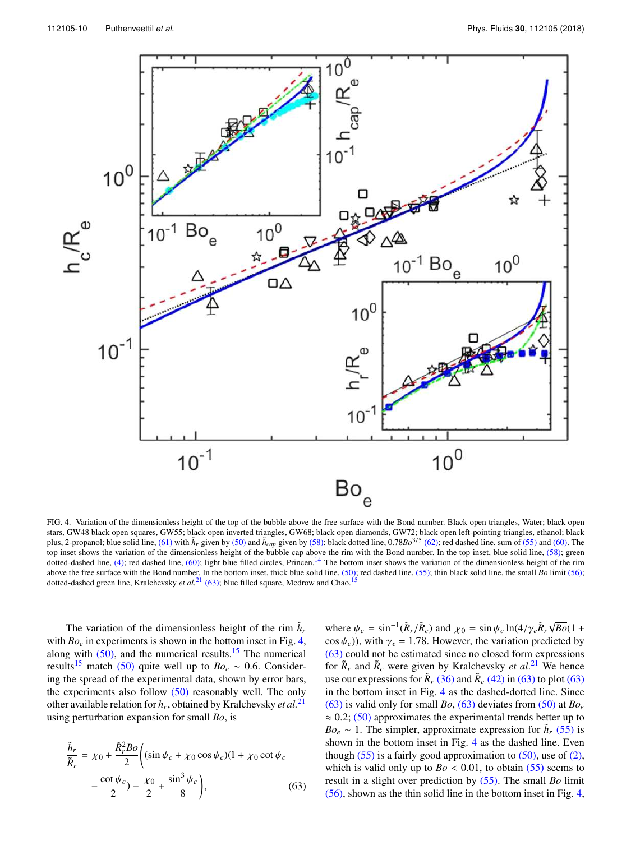

FIG. 4. Variation of the dimensionless height of the top of the bubble above the free surface with the Bond number. Black open triangles, Water; black open stars, GW48 black open squares, GW55; black open inverted triangles, GW68; black open diamonds, GW72; black open left-pointing triangles, ethanol; black plus, 2-propanol; blue solid line, (61) with  $h_r$  given by (50) and  $h_{cap}$  given by (58); black dotted line, 0.78*Bo*<sup>3/5</sup> (62); red dashed line, sum of (55) and (60). The top inset shows the variation of the dimensionless height of the bubble cap above the rim with the Bond number. In the top inset, blue solid line, (58); green dotted-dashed line, (4); red dashed line, (60); light blue filled circles, Princen.<sup>14</sup> The bottom inset shows the variation of the dimensionless height of the rim above the free surface with the Bond number. In the bottom inset, thick blue solid line, (50); red dashed line, (55); thin black solid line, the small *Bo* limit (56); dotted-dashed green line, Kralchevsky *et al.*<sup>21</sup> (63); blue filled square, Medrow and Chao.<sup>15</sup>

The variation of the dimensionless height of the rim  $\tilde{h}_r$ with  $Bo<sub>e</sub>$  in experiments is shown in the bottom inset in Fig. 4, along with  $(50)$ , and the numerical results.<sup>15</sup> The numerical results<sup>15</sup> match (50) quite well up to  $Bo_e \sim 0.6$ . Considering the spread of the experimental data, shown by error bars, the experiments also follow  $(50)$  reasonably well. The only other available relation for *h<sup>r</sup>* , obtained by Kralchevsky *et al.*<sup>21</sup> using perturbation expansion for small *Bo*, is

$$
\frac{\tilde{h}_r}{\tilde{R}_r} = \chi_0 + \frac{\tilde{R}_r^2 B o}{2} \left( (\sin \psi_c + \chi_0 \cos \psi_c)(1 + \chi_0 \cot \psi_c - \frac{\cot \psi_c}{2}) - \frac{\chi_0}{2} + \frac{\sin^3 \psi_c}{8} \right),\tag{63}
$$

where  $\psi_c = \sin^{-1}(\tilde{R}_r/\tilde{R}_c)$  and  $\chi_0 = \sin \psi_c \ln(4/\gamma_e \tilde{R}_r \sqrt{Bo}(1 + \gamma_e \tilde{R}_r \sqrt{Bo})(1 + \gamma_e \tilde{R}_r \sqrt{Bo})(1 + \gamma_e \tilde{R}_r \sqrt{Bo}(1 + \gamma_e \tilde{R}_r \sqrt{Bo})(1 + \gamma_e \tilde{R}_r \sqrt{Bo})(1 + \gamma_e \tilde{R}_r \sqrt{Bo})(1 + \gamma_e \tilde{R}_r \sqrt{Bo})(1 + \gamma_e \tilde{R}_r \sqrt{Bo})(1 + \gamma_e \tilde{R}_r \sqrt{Bo})(1$  $\cos \psi_c$ )), with  $\gamma_e = 1.78$ . However, the variation predicted by (63) could not be estimated since no closed form expressions for  $\tilde{R}_r$  and  $\tilde{R}_c$  were given by Kralchevsky *et al.*<sup>21</sup> We hence use our expressions for  $\tilde{R}_r$  (36) and  $\tilde{R}_c$  (42) in (63) to plot (63) in the bottom inset in Fig. 4 as the dashed-dotted line. Since (63) is valid only for small *Bo*, (63) deviates from (50) at  $Bo_e$  $\approx 0.2$ ; (50) approximates the experimental trends better up to  $Bo_e \sim 1$ . The simpler, approximate expression for  $\tilde{h}_r$  (55) is shown in the bottom inset in Fig. 4 as the dashed line. Even though  $(55)$  is a fairly good approximation to  $(50)$ , use of  $(2)$ , which is valid only up to  $Bo < 0.01$ , to obtain (55) seems to result in a slight over prediction by (55). The small *Bo* limit (56), shown as the thin solid line in the bottom inset in Fig. 4,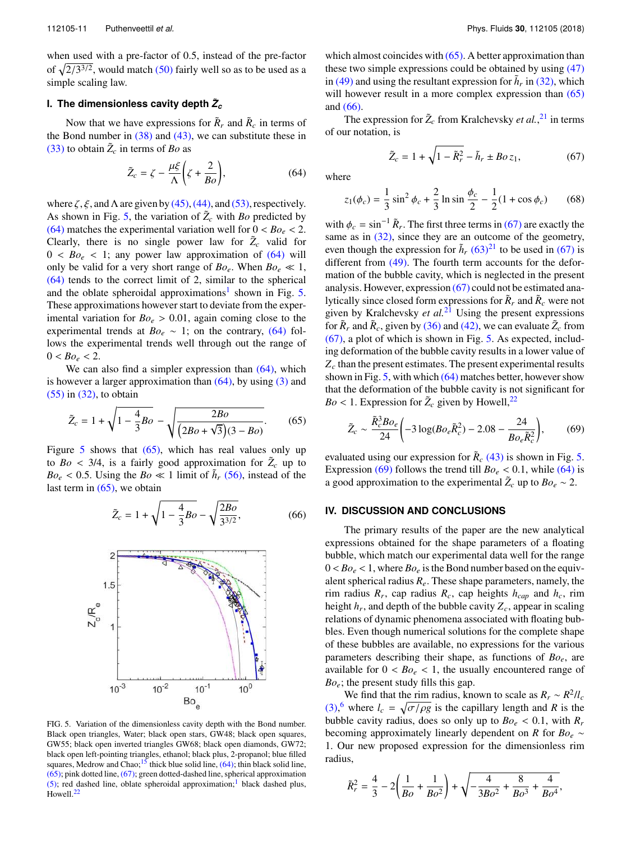when used with a pre-factor of 0.5, instead of the pre-factor of  $\sqrt{2/3^{3/2}}$ , would match (50) fairly well so as to be used as a simple scaling law.

## **I. The dimensionless cavity depth**  $\tilde{Z}_{c}$

Now that we have expressions for  $\tilde{R}_r$  and  $\tilde{R}_c$  in terms of the Bond number in  $(38)$  and  $(43)$ , we can substitute these in  $(33)$  to obtain  $\tilde{Z}_c$  in terms of *Bo* as

$$
\tilde{Z}_c = \zeta - \frac{\mu \xi}{\Lambda} \left( \zeta + \frac{2}{B_o} \right),\tag{64}
$$

where  $\zeta$ ,  $\xi$ , and  $\Lambda$  are given by (45), (44), and (53), respectively. As shown in Fig. 5, the variation of  $\tilde{Z}_c$  with *Bo* predicted by (64) matches the experimental variation well for  $0 < B_0$ <sub>e</sub>  $< 2$ . Clearly, there is no single power law for  $\tilde{Z}_c$  valid for  $0 < Bo_e < 1$ ; any power law approximation of  $(64)$  will only be valid for a very short range of  $Bo_e$ . When  $Bo_e \ll 1$ , (64) tends to the correct limit of 2, similar to the spherical and the oblate spheroidal approximations<sup>1</sup> shown in Fig. 5. These approximations however start to deviate from the experimental variation for  $Bo_e > 0.01$ , again coming close to the experimental trends at  $Bo_e \sim 1$ ; on the contrary, (64) follows the experimental trends well through out the range of  $0 < Bo_e < 2$ .

We can also find a simpler expression than  $(64)$ , which is however a larger approximation than  $(64)$ , by using  $(3)$  and (55) in (32), to obtain

$$
\tilde{Z}_c = 1 + \sqrt{1 - \frac{4}{3}Bo} - \sqrt{\frac{2Bo}{(2Bo + \sqrt{3})(3 - Bo)}}.
$$
 (65)

Figure 5 shows that  $(65)$ , which has real values only up to *Bo* < 3/4, is a fairly good approximation for  $\tilde{Z}_c$  up to  $Bo_e < 0.5$ . Using the  $Bo \ll 1$  limit of  $\tilde{h}_r$  (56), instead of the last term in  $(65)$ , we obtain

$$
\tilde{Z}_c = 1 + \sqrt{1 - \frac{4}{3}Bo} - \sqrt{\frac{2Bo}{3^{3/2}}},
$$
 (66)



FIG. 5. Variation of the dimensionless cavity depth with the Bond number. Black open triangles, Water; black open stars, GW48; black open squares, GW55; black open inverted triangles GW68; black open diamonds, GW72; black open left-pointing triangles, ethanol; black plus, 2-propanol; blue filled squares, Medrow and Chao; $15$  thick blue solid line, (64); thin black solid line, (65); pink dotted line, (67); green dotted-dashed line, spherical approximation (5); red dashed line, oblate spheroidal approximation;<sup>1</sup> black dashed plus, Howell.<sup>22</sup>

which almost coincides with  $(65)$ . A better approximation than these two simple expressions could be obtained by using (47) in (49) and using the resultant expression for  $\tilde{h}_r$  in (32), which will however result in a more complex expression than  $(65)$ and (66).

The expression for  $\tilde{Z}_c$  from Kralchevsky *et al.*,<sup>21</sup> in terms of our notation, is

$$
\tilde{Z}_c = 1 + \sqrt{1 - \tilde{R}_r^2} - \tilde{h}_r \pm Boz_1,\tag{67}
$$

where

$$
z_1(\phi_c) = \frac{1}{3}\sin^2\phi_c + \frac{2}{3}\ln\sin\frac{\phi_c}{2} - \frac{1}{2}(1 + \cos\phi_c) \tag{68}
$$

with  $\phi_c = \sin^{-1} \tilde{R}_r$ . The first three terms in (67) are exactly the same as in  $(32)$ , since they are an outcome of the geometry, even though the expression for  $\tilde{h}_r$  (63)<sup>21</sup> to be used in (67) is different from (49). The fourth term accounts for the deformation of the bubble cavity, which is neglected in the present analysis. However, expression (67) could not be estimated analytically since closed form expressions for  $\tilde{R}_r$  and  $\tilde{R}_c$  were not given by Kralchevsky *et al.*<sup>21</sup> Using the present expressions for  $\tilde{R}_r$  and  $\tilde{R}_c$ , given by (36) and (42), we can evaluate  $\tilde{Z}_c$  from (67), a plot of which is shown in Fig. 5. As expected, including deformation of the bubble cavity results in a lower value of *Z<sup>c</sup>* than the present estimates. The present experimental results shown in Fig. 5, with which (64) matches better, however show that the deformation of the bubble cavity is not significant for  $Bo < 1$ . Expression for  $\tilde{Z}_c$  given by Howell,<sup>22</sup>

$$
\tilde{Z}_c \sim \frac{\tilde{R}_c^3 B o_e}{24} \left( -3 \log(B o_e \tilde{R}_c^2) - 2.08 - \frac{24}{B o_e \tilde{R}_c^2} \right),\tag{69}
$$

evaluated using our expression for  $\tilde{R}_c$  (43) is shown in Fig. 5. Expression (69) follows the trend till  $Bo_e < 0.1$ , while (64) is a good approximation to the experimental  $\tilde{Z}_c$  up to  $Bo_e \sim 2$ .

#### **IV. DISCUSSION AND CONCLUSIONS**

The primary results of the paper are the new analytical expressions obtained for the shape parameters of a floating bubble, which match our experimental data well for the range  $0 < B<sub>0<sub>e</sub></sub> < 1$ , where  $B<sub>0<sub>e</sub></sub>$  is the Bond number based on the equivalent spherical radius *Re*. These shape parameters, namely, the rim radius *R<sup>r</sup>* , cap radius *Rc*, cap heights *hcap* and *hc*, rim height *h<sup>r</sup>* , and depth of the bubble cavity *Zc*, appear in scaling relations of dynamic phenomena associated with floating bubbles. Even though numerical solutions for the complete shape of these bubbles are available, no expressions for the various parameters describing their shape, as functions of *Boe*, are available for  $0 < Bo_e < 1$ , the usually encountered range of *Boe*; the present study fills this gap.

We find that the rim radius, known to scale as  $R_r \sim R^2/l_c$  $(3)$ <sup>6</sup> where  $l_c = \sqrt{\frac{\sigma}{\rho g}}$  is the capillary length and *R* is the bubble cavity radius, does so only up to  $Bo_e < 0.1$ , with  $R_r$ becoming approximately linearly dependent on *R* for  $Bo_e \sim$ 1. Our new proposed expression for the dimensionless rim radius,

$$
\tilde{R}_r^2 = \frac{4}{3} - 2\left(\frac{1}{Bo} + \frac{1}{Bo^2}\right) + \sqrt{-\frac{4}{3Bo^2} + \frac{8}{Bo^3} + \frac{4}{Bo^4}},
$$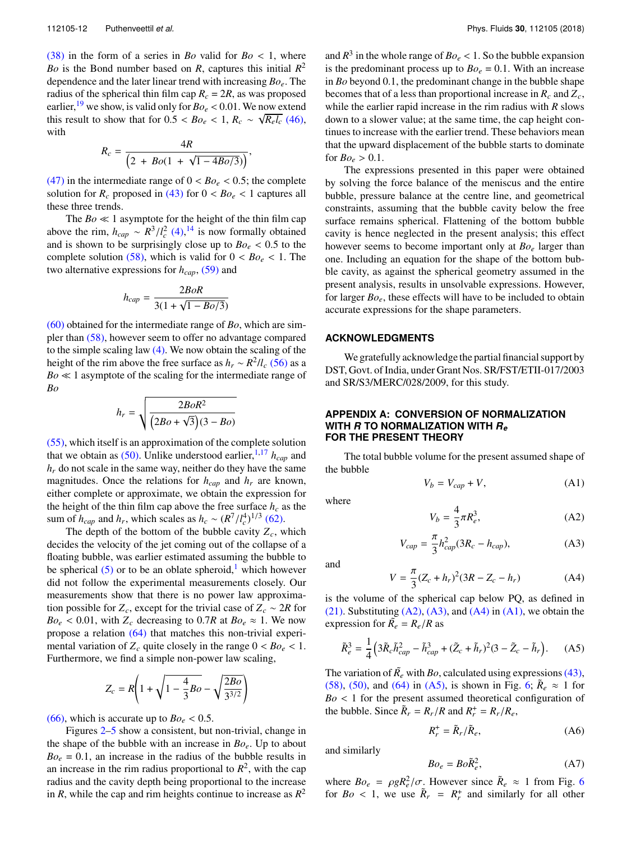$(38)$  in the form of a series in *Bo* valid for *Bo* < 1, where *Bo* is the Bond number based on *R*, captures this initial *R* 2 dependence and the later linear trend with increasing *Boe*. The radius of the spherical thin film cap  $R_c = 2R$ , as was proposed earlier, <sup>19</sup> we show, is valid only for  $Bo_e < 0.01$ . We now extend this result to show that for  $0.5 < Bo_e < 1$ ,  $R_c \sim \sqrt{R_e l_c}$  (46), with

$$
R_c = \frac{4R}{\left(2 + Bo(1 + \sqrt{1 - 4Bo/3})\right)},
$$

(47) in the intermediate range of  $0 < B<sub>o</sub> < 0.5$ ; the complete solution for  $R_c$  proposed in (43) for  $0 < Bo_e < 1$  captures all these three trends.

The *Bo* ≪ 1 asymptote for the height of the thin film cap above the rim,  $h_{cap} \sim R^3/l_c^2$  (4),<sup>14</sup> is now formally obtained and is shown to be surprisingly close up to  $Bo_e < 0.5$  to the complete solution (58), which is valid for  $0 < Bo_e < 1$ . The two alternative expressions for *hcap*, (59) and

$$
h_{cap} = \frac{2BoR}{3(1 + \sqrt{1 - Bo/3})}
$$

(60) obtained for the intermediate range of *Bo*, which are simpler than (58), however seem to offer no advantage compared to the simple scaling law (4). We now obtain the scaling of the height of the rim above the free surface as  $h_r \sim R^2/l_c$  (56) as a *Bo* ≪ 1 asymptote of the scaling for the intermediate range of *Bo* v

$$
h_r = \sqrt{\frac{2BoR^2}{(2Bo + \sqrt{3})(3 - Bo)}}
$$

(55), which itself is an approximation of the complete solution that we obtain as  $(50)$ . Unlike understood earlier, <sup>1,17</sup>  $h_{cap}$  and  $h_r$  do not scale in the same way, neither do they have the same magnitudes. Once the relations for  $h_{cap}$  and  $h_r$  are known, either complete or approximate, we obtain the expression for the height of the thin film cap above the free surface  $h_c$  as the sum of  $h_{cap}$  and  $h_r$ , which scales as  $h_c \sim (R^7/l_c^4)^{1/3}$  (62).

The depth of the bottom of the bubble cavity  $Z_c$ , which decides the velocity of the jet coming out of the collapse of a floating bubble, was earlier estimated assuming the bubble to be spherical  $(5)$  or to be an oblate spheroid,<sup>1</sup> which however did not follow the experimental measurements closely. Our measurements show that there is no power law approximation possible for  $Z_c$ , except for the trivial case of  $Z_c \sim 2R$  for  $Bo_e < 0.01$ , with  $Z_c$  decreasing to 0.7*R* at  $Bo_e \approx 1$ . We now propose a relation (64) that matches this non-trivial experimental variation of  $Z_c$  quite closely in the range  $0 < B_o \lt 1$ . Furthermore, we find a simple non-power law scaling,

$$
Z_c = R \left( 1 + \sqrt{1 - \frac{4}{3}Bo} - \sqrt{\frac{2Bo}{3^{3/2}}} \right)
$$

(66), which is accurate up to  $Bo_e < 0.5$ .

Figures 2–5 show a consistent, but non-trivial, change in the shape of the bubble with an increase in *Boe*. Up to about  $Bo_e = 0.1$ , an increase in the radius of the bubble results in an increase in the rim radius proportional to  $R^2$ , with the cap radius and the cavity depth being proportional to the increase in *R*, while the cap and rim heights continue to increase as  $R^2$ 

and  $R^3$  in the whole range of  $Bo_e < 1$ . So the bubble expansion is the predominant process up to  $Bo_e = 0.1$ . With an increase in *Bo* beyond 0.1, the predominant change in the bubble shape becomes that of a less than proportional increase in  $R_c$  and  $Z_c$ , while the earlier rapid increase in the rim radius with *R* slows down to a slower value; at the same time, the cap height continues to increase with the earlier trend. These behaviors mean that the upward displacement of the bubble starts to dominate for  $Bo_e > 0.1$ .

The expressions presented in this paper were obtained by solving the force balance of the meniscus and the entire bubble, pressure balance at the centre line, and geometrical constraints, assuming that the bubble cavity below the free surface remains spherical. Flattening of the bottom bubble cavity is hence neglected in the present analysis; this effect however seems to become important only at *Bo<sup>e</sup>* larger than one. Including an equation for the shape of the bottom bubble cavity, as against the spherical geometry assumed in the present analysis, results in unsolvable expressions. However, for larger *Boe*, these effects will have to be included to obtain accurate expressions for the shape parameters.

#### **ACKNOWLEDGMENTS**

We gratefully acknowledge the partial financial support by DST, Govt. of India, under Grant Nos. SR/FST/ETII-017/2003 and SR/S3/MERC/028/2009, for this study.

#### **APPENDIX A: CONVERSION OF NORMALIZATION WITH** *R* **TO NORMALIZATION WITH** *R<sup>e</sup>* **FOR THE PRESENT THEORY**

The total bubble volume for the present assumed shape of the bubble

$$
V_b = V_{cap} + V,\tag{A1}
$$

where

$$
V_b = \frac{4}{3}\pi R_e^3,\tag{A2}
$$

$$
V_{cap} = \frac{\pi}{3} h_{cap}^2 (3R_c - h_{cap}),
$$
 (A3)

and

$$
V = \frac{\pi}{3}(Z_c + h_r)^2 (3R - Z_c - h_r)
$$
 (A4)

is the volume of the spherical cap below PQ, as defined in (21). Substituting  $(A2)$ ,  $(A3)$ , and  $(A4)$  in  $(A1)$ , we obtain the expression for  $\tilde{R_e} = R_e/R$  as

$$
\tilde{R}_e^3 = \frac{1}{4} \left( 3 \tilde{R}_c \tilde{h}_{cap}^2 - \tilde{h}_{cap}^3 + (\tilde{Z}_c + \tilde{h}_r)^2 (3 - \tilde{Z}_c - \tilde{h}_r \right). \tag{A5}
$$

The variation of  $\tilde{R}_e$  with *Bo*, calculated using expressions (43), (58), (50), and (64) in (A5), is shown in Fig. 6;  $\tilde{R}_e \approx 1$  for  $Bo < 1$  for the present assumed theoretical configuration of the bubble. Since  $\tilde{R}_r = R_r/R$  and  $R_r^+ = R_r/R_e$ ,

$$
R_r^+ = \tilde{R}_r / \tilde{R}_e, \tag{A6}
$$

and similarly

$$
Bo_e = Bo\tilde{R}_e^2,\tag{A7}
$$

where  $Bo_e = \rho g R_e^2 / \sigma$ . However since  $\tilde{R}_e \approx 1$  from Fig. 6 for  $Bo < 1$ , we use  $\tilde{R}_r = R_r^+$  and similarly for all other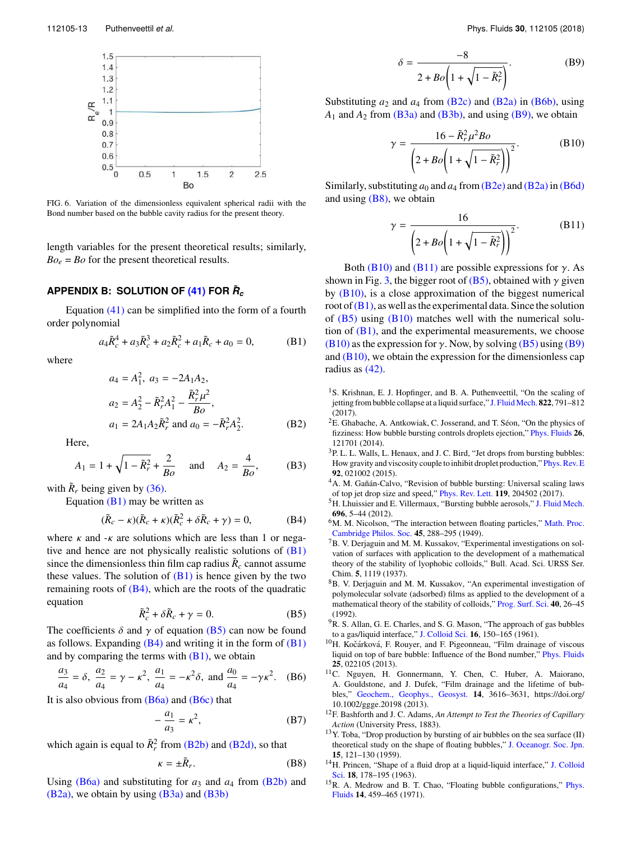

FIG. 6. Variation of the dimensionless equivalent spherical radii with the Bond number based on the bubble cavity radius for the present theory.

length variables for the present theoretical results; similarly,  $Bo_e = Bo$  for the present theoretical results.

# **APPENDIX B: SOLUTION OF (41) FOR** *<sup>R</sup>***˜** *c*

Equation (41) can be simplified into the form of a fourth order polynomial

$$
a_4 \tilde{R}_c^4 + a_3 \tilde{R}_c^3 + a_2 \tilde{R}_c^2 + a_1 \tilde{R}_c + a_0 = 0,
$$
 (B1)

where

$$
a_4 = A_1^2, a_3 = -2A_1A_2,
$$
  
\n
$$
a_2 = A_2^2 - \tilde{R}_r^2 A_1^2 - \frac{\tilde{R}_r^2 \mu^2}{B_o},
$$
  
\n
$$
a_1 = 2A_1A_2\tilde{R}_r^2 \text{ and } a_0 = -\tilde{R}_r^2A_2^2.
$$
 (B2)

Here,

$$
A_1 = 1 + \sqrt{1 - \tilde{R}_r^2} + \frac{2}{Bo}
$$
 and  $A_2 = \frac{4}{Bo}$ , (B3)

with  $\tilde{R}_r$  being given by (36).

Equation  $(B1)$  may be written as

$$
(\tilde{R}_c - \kappa)(\tilde{R}_c + \kappa)(\tilde{R}_c^2 + \delta \tilde{R}_c + \gamma) = 0, \tag{B4}
$$

where  $\kappa$  and  $-\kappa$  are solutions which are less than 1 or negative and hence are not physically realistic solutions of  $(B1)$ since the dimensionless thin film cap radius  $\tilde{R}_c$  cannot assume these values. The solution of  $(B1)$  is hence given by the two remaining roots of (B4), which are the roots of the quadratic equation

$$
\tilde{R}_c^2 + \delta \tilde{R}_c + \gamma = 0. \tag{B5}
$$

The coefficients  $\delta$  and  $\gamma$  of equation (B5) can now be found as follows. Expanding  $(B4)$  and writing it in the form of  $(B1)$ and by comparing the terms with  $(B1)$ , we obtain

$$
\frac{a_3}{a_4} = \delta, \ \frac{a_2}{a_4} = \gamma - \kappa^2, \ \frac{a_1}{a_4} = -\kappa^2 \delta, \text{ and } \frac{a_0}{a_4} = -\gamma \kappa^2. \tag{B6}
$$

It is also obvious from  $(B6a)$  and  $(B6c)$  that

$$
-\frac{a_1}{a_3} = \kappa^2,\tag{B7}
$$

which again is equal to  $\tilde{R}_r^2$  from (B2b) and (B2d), so that

$$
\kappa = \pm \tilde{R}_r. \tag{B8}
$$

Using  $(B6a)$  and substituting for  $a_3$  and  $a_4$  from  $(B2b)$  and  $(B2a)$ , we obtain by using  $(B3a)$  and  $(B3b)$ 

$$
\delta = \frac{-8}{2 + Bo\left(1 + \sqrt{1 - \tilde{R}_r^2}\right)}.\tag{B9}
$$

Substituting  $a_2$  and  $a_4$  from  $(B2c)$  and  $(B2a)$  in  $(B6b)$ , using  $A_1$  and  $A_2$  from (B3a) and (B3b), and using (B9), we obtain

$$
\gamma = \frac{16 - \tilde{R}_r^2 \mu^2 B o}{\left(2 + B o \left(1 + \sqrt{1 - \tilde{R}_r^2}\right)\right)^2}.
$$
 (B10)

Similarly, substituting  $a_0$  and  $a_4$  from (B2e) and (B2a) in (B6d) and using  $(B8)$ , we obtain

$$
\gamma = \frac{16}{\left(2 + Bo\left(1 + \sqrt{1 - \tilde{R}_r^2}\right)\right)^2}.
$$
 (B11)

Both (B10) and (B11) are possible expressions for  $\gamma$ . As shown in Fig. 3, the bigger root of (B5), obtained with  $\gamma$  given by  $(B10)$ , is a close approximation of the biggest numerical root of  $(B1)$ , as well as the experimental data. Since the solution of  $(B5)$  using  $(B10)$  matches well with the numerical solution of  $(B1)$ , and the experimental measurements, we choose (B10) as the expression for  $\gamma$ . Now, by solving (B5) using (B9) and  $(B10)$ , we obtain the expression for the dimensionless cap radius as (42).

- <sup>1</sup>S. Krishnan, E. J. Hopfinger, and B. A. Puthenveettil, "On the scaling of jetting from bubble collapse at a liquid surface," J. Fluid Mech. 822, 791-812 (2017).
- ${}^{2}E$ . Ghabache, A. Antkowiak, C. Josserand, and T. Séon, "On the physics of fizziness: How bubble bursting controls droplets ejection," Phys. Fluids **26**, 121701 (2014).
- <sup>3</sup>P. L. L. Walls, L. Henaux, and J. C. Bird, "Jet drops from bursting bubbles: How gravity and viscosity couple to inhibit droplet production," Phys. Rev. E **92**, 021002 (2015).
- $4A$ . M. Gañán-Calvo, "Revision of bubble bursting: Universal scaling laws of top jet drop size and speed," Phys. Rev. Lett. **119**, 204502 (2017).
- <sup>5</sup>H. Lhuissier and E. Villermaux, "Bursting bubble aerosols," J. Fluid Mech. **696**, 5–44 (2012).
- <sup>6</sup>M. M. Nicolson, "The interaction between floating particles," Math. Proc. Cambridge Philos. Soc. **45**, 288–295 (1949).
- <sup>7</sup>B. V. Derjaguin and M. M. Kussakov, "Experimental investigations on solvation of surfaces with application to the development of a mathematical theory of the stability of lyophobic colloids," Bull. Acad. Sci. URSS Ser. Chim. **5**, 1119 (1937).
- <sup>8</sup>B. V. Derjaguin and M. M. Kussakov, "An experimental investigation of polymolecular solvate (adsorbed) films as applied to the development of a mathematical theory of the stability of colloids," Prog. Surf. Sci. **40**, 26–45 (1992).
- <sup>9</sup>R. S. Allan, G. E. Charles, and S. G. Mason, "The approach of gas bubbles to a gas/liquid interface," J. Colloid Sci. **16**, 150–165 (1961).
- <sup>10</sup>H. Kočárková, F. Rouyer, and F. Pigeonneau, "Film drainage of viscous liquid on top of bare bubble: Influence of the Bond number," Phys. Fluids **25**, 022105 (2013).
- <sup>11</sup>C. Nguyen, H. Gonnermann, Y. Chen, C. Huber, A. Maiorano, A. Gouldstone, and J. Dufek, "Film drainage and the lifetime of bubbles," Geochem., Geophys., Geosyst. **14**, 3616–3631, https://doi.org/ 10.1002/ggge.20198 (2013).
- <sup>12</sup>F. Bashforth and J. C. Adams, *An Attempt to Test the Theories of Capillary Action* (University Press, 1883).
- <sup>13</sup>Y. Toba, "Drop production by bursting of air bubbles on the sea surface (II) theoretical study on the shape of floating bubbles," J. Oceanogr. Soc. Jpn. **15**, 121–130 (1959).
- <sup>14</sup>H. Princen, "Shape of a fluid drop at a liquid-liquid interface," J. Colloid Sci. **18**, 178–195 (1963).
- <sup>15</sup>R. A. Medrow and B. T. Chao, "Floating bubble configurations," Phys. Fluids **14**, 459–465 (1971).